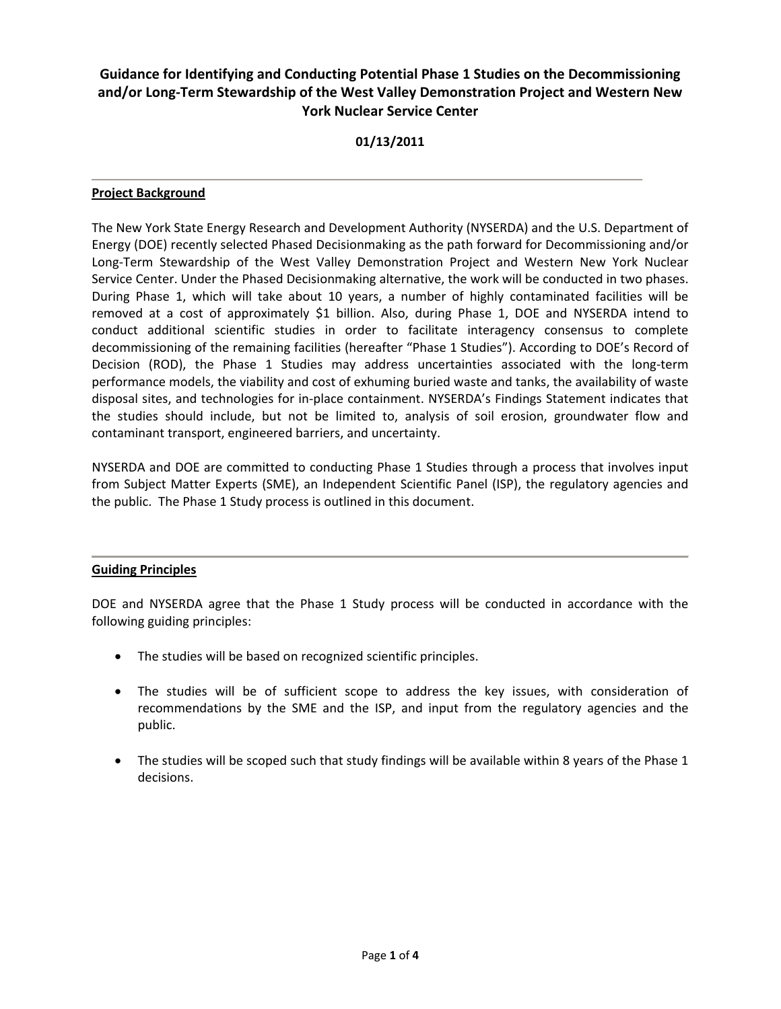# **Guidance for Identifying and Conducting Potential Phase 1 Studies on the Decommissioning and/or Long-Term Stewardship of the West Valley Demonstration Project and Western New York Nuclear Service Center**

# **01/13/2011**

## **Project Background**

The New York State Energy Research and Development Authority (NYSERDA) and the U.S. Department of Energy (DOE) recently selected Phased Decisionmaking as the path forward for Decommissioning and/or Long-Term Stewardship of the West Valley Demonstration Project and Western New York Nuclear Service Center. Under the Phased Decisionmaking alternative, the work will be conducted in two phases. During Phase 1, which will take about 10 years, a number of highly contaminated facilities will be removed at a cost of approximately \$1 billion. Also, during Phase 1, DOE and NYSERDA intend to conduct additional scientific studies in order to facilitate interagency consensus to complete decommissioning of the remaining facilities (hereafter "Phase 1 Studies"). According to DOE's Record of Decision (ROD), the Phase 1 Studies may address uncertainties associated with the long-term performance models, the viability and cost of exhuming buried waste and tanks, the availability of waste disposal sites, and technologies for in-place containment. NYSERDA's Findings Statement indicates that the studies should include, but not be limited to, analysis of soil erosion, groundwater flow and contaminant transport, engineered barriers, and uncertainty.

NYSERDA and DOE are committed to conducting Phase 1 Studies through a process that involves input from Subject Matter Experts (SME), an Independent Scientific Panel (ISP), the regulatory agencies and the public. The Phase 1 Study process is outlined in this document.

## **Guiding Principles**

DOE and NYSERDA agree that the Phase 1 Study process will be conducted in accordance with the following guiding principles:

- The studies will be based on recognized scientific principles.
- The studies will be of sufficient scope to address the key issues, with consideration of recommendations by the SME and the ISP, and input from the regulatory agencies and the public.
- The studies will be scoped such that study findings will be available within 8 years of the Phase 1 decisions.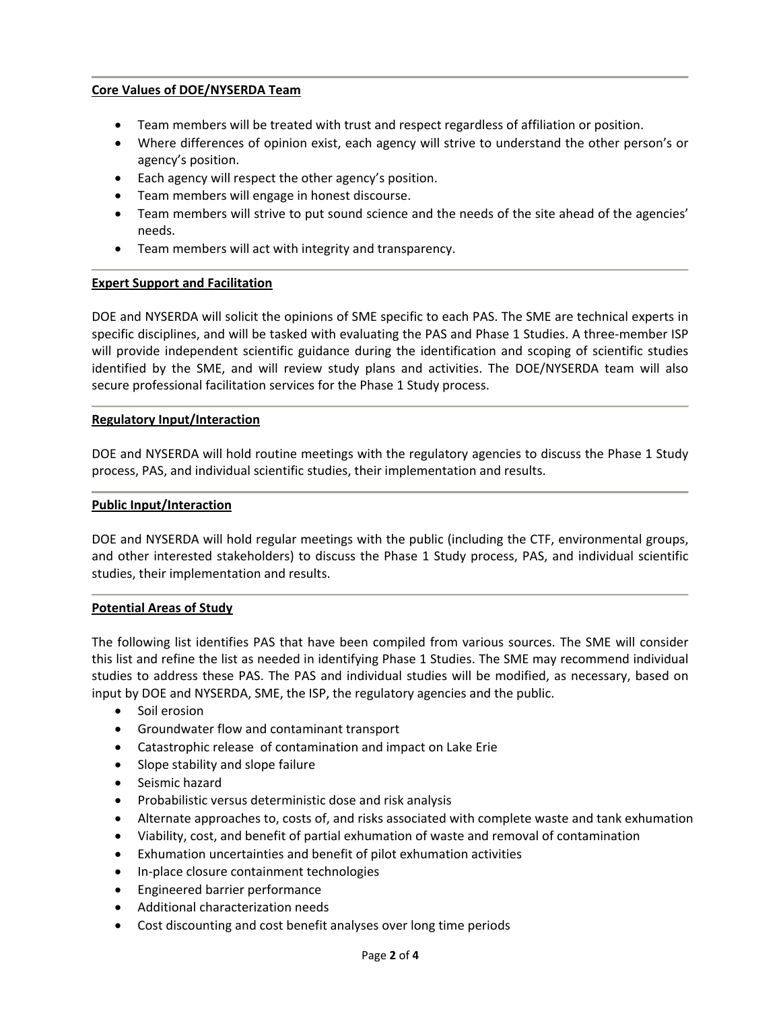# **Core Values of DOE/NYSERDA Team**

- Team members will be treated with trust and respect regardless of affiliation or position.
- Where differences of opinion exist, each agency will strive to understand the other person's or agency's position.
- Each agency will respect the other agency's position.
- Team members will engage in honest discourse.
- Team members will strive to put sound science and the needs of the site ahead of the agencies' needs.
- Team members will act with integrity and transparency.

#### **Expert Support and Facilitation**

DOE and NYSERDA will solicit the opinions of SME specific to each PAS. The SME are technical experts in specific disciplines, and will be tasked with evaluating the PAS and Phase 1 Studies. A three-member ISP will provide independent scientific guidance during the identification and scoping of scientific studies identified by the SME, and will review study plans and activities. The DOE/NYSERDA team will also secure professional facilitation services for the Phase 1 Study process.

#### **Regulatory Input/Interaction**

DOE and NYSERDA will hold routine meetings with the regulatory agencies to discuss the Phase 1 Study process, PAS, and individual scientific studies, their implementation and results.

#### **Public Input/Interaction**

DOE and NYSERDA will hold regular meetings with the public (including the CTF, environmental groups, and other interested stakeholders) to discuss the Phase 1 Study process, PAS, and individual scientific studies, their implementation and results.

#### **Potential Areas of Study**

The following list identifies PAS that have been compiled from various sources. The SME will consider this list and refine the list as needed in identifying Phase 1 Studies. The SME may recommend individual studies to address these PAS. The PAS and individual studies will be modified, as necessary, based on input by DOE and NYSERDA, SME, the ISP, the regulatory agencies and the public.

- Soil erosion
- Groundwater flow and contaminant transport
- Catastrophic release of contamination and impact on Lake Erie
- Slope stability and slope failure
- Seismic hazard
- Probabilistic versus deterministic dose and risk analysis
- Alternate approaches to, costs of, and risks associated with complete waste and tank exhumation
- Viability, cost, and benefit of partial exhumation of waste and removal of contamination
- Exhumation uncertainties and benefit of pilot exhumation activities
- In-place closure containment technologies
- Engineered barrier performance
- Additional characterization needs
- Cost discounting and cost benefit analyses over long time periods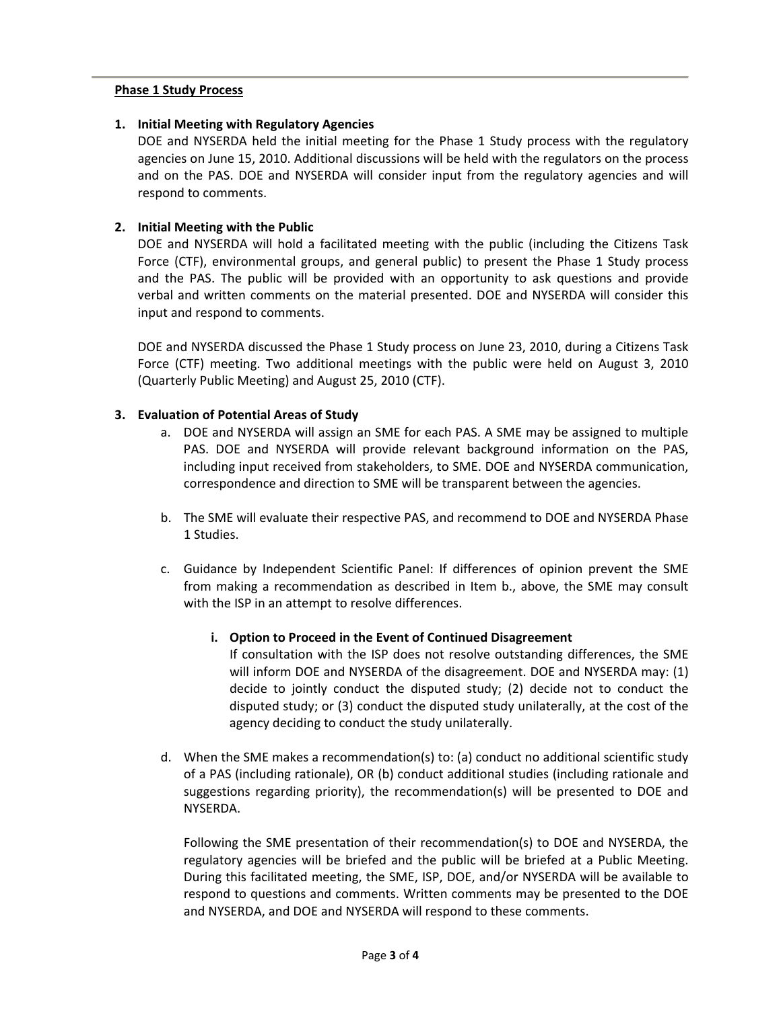#### **Phase 1 Study Process**

## **1. Initial Meeting with Regulatory Agencies**

DOE and NYSERDA held the initial meeting for the Phase 1 Study process with the regulatory agencies on June 15, 2010. Additional discussions will be held with the regulators on the process and on the PAS. DOE and NYSERDA will consider input from the regulatory agencies and will respond to comments.

## **2. Initial Meeting with the Public**

DOE and NYSERDA will hold a facilitated meeting with the public (including the Citizens Task Force (CTF), environmental groups, and general public) to present the Phase 1 Study process and the PAS. The public will be provided with an opportunity to ask questions and provide verbal and written comments on the material presented. DOE and NYSERDA will consider this input and respond to comments.

DOE and NYSERDA discussed the Phase 1 Study process on June 23, 2010, during a Citizens Task Force (CTF) meeting. Two additional meetings with the public were held on August 3, 2010 (Quarterly Public Meeting) and August 25, 2010 (CTF).

#### **3. Evaluation of Potential Areas of Study**

- a. DOE and NYSERDA will assign an SME for each PAS. A SME may be assigned to multiple PAS. DOE and NYSERDA will provide relevant background information on the PAS, including input received from stakeholders, to SME. DOE and NYSERDA communication, correspondence and direction to SME will be transparent between the agencies.
- b. The SME will evaluate their respective PAS, and recommend to DOE and NYSERDA Phase 1 Studies.
- c. Guidance by Independent Scientific Panel: If differences of opinion prevent the SME from making a recommendation as described in Item b., above, the SME may consult with the ISP in an attempt to resolve differences.

## **i. Option to Proceed in the Event of Continued Disagreement**

If consultation with the ISP does not resolve outstanding differences, the SME will inform DOE and NYSERDA of the disagreement. DOE and NYSERDA may: (1) decide to jointly conduct the disputed study; (2) decide not to conduct the disputed study; or (3) conduct the disputed study unilaterally, at the cost of the agency deciding to conduct the study unilaterally.

d. When the SME makes a recommendation(s) to: (a) conduct no additional scientific study of a PAS (including rationale), OR (b) conduct additional studies (including rationale and suggestions regarding priority), the recommendation(s) will be presented to DOE and NYSERDA.

Following the SME presentation of their recommendation(s) to DOE and NYSERDA, the regulatory agencies will be briefed and the public will be briefed at a Public Meeting. During this facilitated meeting, the SME, ISP, DOE, and/or NYSERDA will be available to respond to questions and comments. Written comments may be presented to the DOE and NYSERDA, and DOE and NYSERDA will respond to these comments.